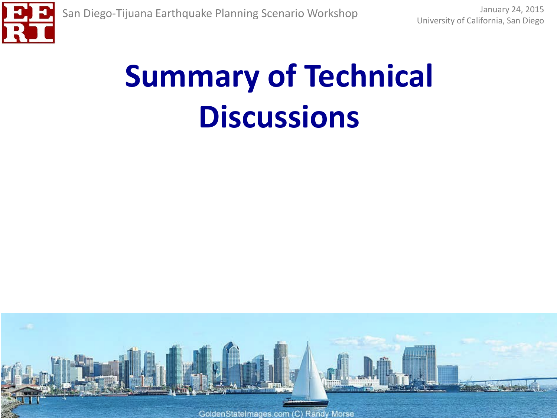

# **Summary of Technical Discussions**

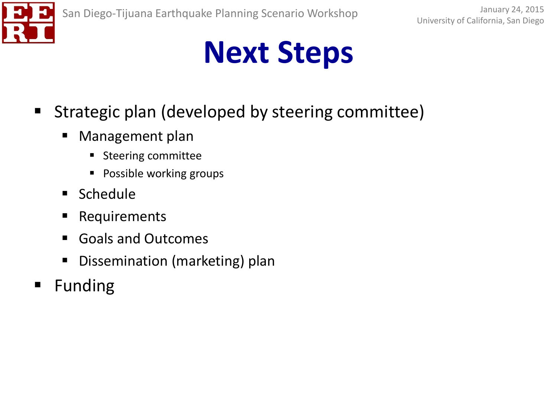

- Strategic plan (developed by steering committee)
	- Management plan
		- Steering committee
		- **Possible working groups**
	- **Schedule**
	- **Requirements**
	- Goals and Outcomes
	- Dissemination (marketing) plan
- **Funding**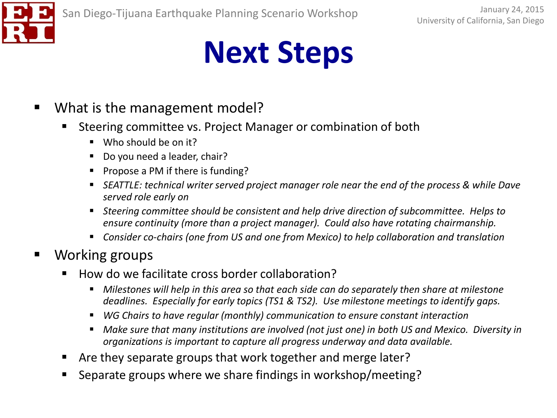- What is the management model?
	- Steering committee vs. Project Manager or combination of both
		- Who should be on it?
		- Do you need a leader, chair?
		- Propose a PM if there is funding?
		- *SEATTLE: technical writer served project manager role near the end of the process & while Dave served role early on*
		- *Steering committee should be consistent and help drive direction of subcommittee. Helps to ensure continuity (more than a project manager). Could also have rotating chairmanship.*
		- *Consider co-chairs (one from US and one from Mexico) to help collaboration and translation*
- Working groups
	- How do we facilitate cross border collaboration?
		- *Milestones will help in this area so that each side can do separately then share at milestone deadlines. Especially for early topics (TS1 & TS2). Use milestone meetings to identify gaps.*
		- *WG Chairs to have regular (monthly) communication to ensure constant interaction*
		- *Make sure that many institutions are involved (not just one) in both US and Mexico. Diversity in organizations is important to capture all progress underway and data available.*
	- Are they separate groups that work together and merge later?
	- **Separate groups where we share findings in workshop/meeting?**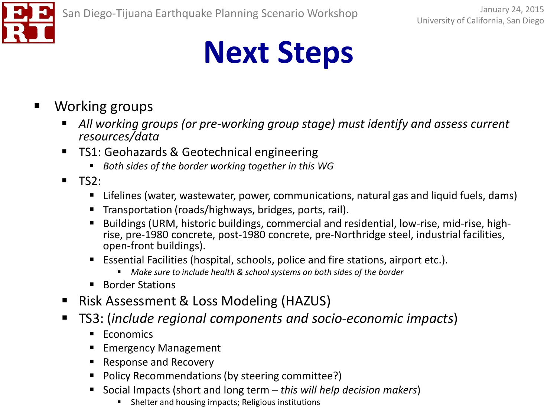

- Working groups
	- *All working groups (or pre-working group stage) must identify and assess current resources/data*
	- TS1: Geohazards & Geotechnical engineering
		- *Both sides of the border working together in this WG*
	- $TS2:$ 
		- Lifelines (water, wastewater, power, communications, natural gas and liquid fuels, dams)
		- **Transportation (roads/highways, bridges, ports, rail).**
		- Buildings (URM, historic buildings, commercial and residential, low-rise, mid-rise, high- rise, pre-1980 concrete, post-1980 concrete, pre-Northridge steel, industrial facilities, open-front buildings).
		- Essential Facilities (hospital, schools, police and fire stations, airport etc.).
			- *Make sure to include health & school systems on both sides of the border*
		- Border Stations
	- Risk Assessment & Loss Modeling (HAZUS)
	- TS3: (*include regional components and socio-economic impacts*)
		- **Economics**
		- Emergency Management
		- Response and Recovery
		- Policy Recommendations (by steering committee?)
		- Social Impacts (short and long term *this will help decision makers*)
			- **Shelter and housing impacts; Religious institutions**